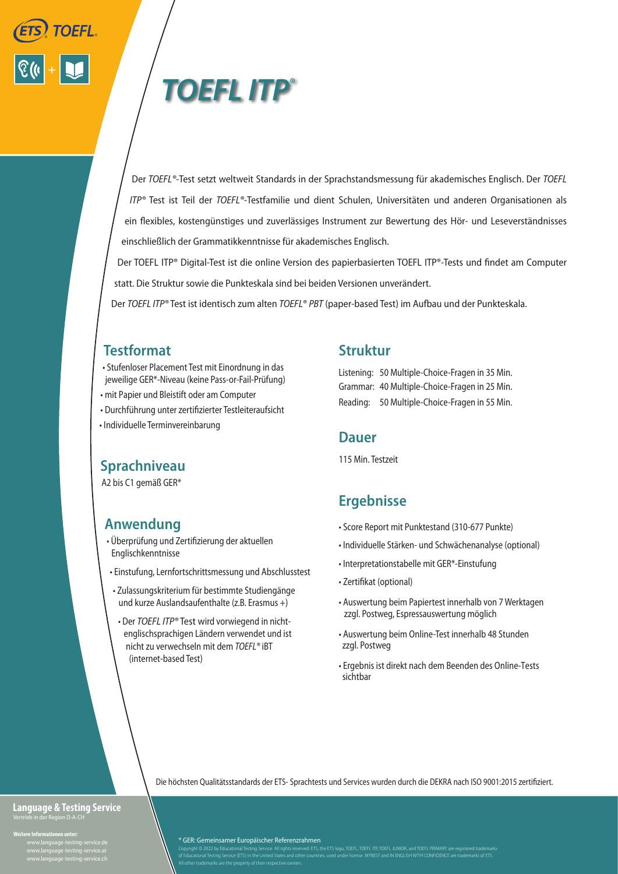



Der *TOEFL®-*Test setzt weltweit Standards in der Sprachstandsmessung für akademisches Englisch. Der *TOEFL ITP®* Test ist Teil der *TOEFL®-*Testfamilie und dient Schulen, Universitäten und anderen Organisationen als ein flexibles, kostengünstiges und zuverlässiges Instrument zur Bewertung des Hör- und Leseverständnisses einschließlich der Grammatikkenntnisse für akademisches Englisch.

Der TOEFL ITP® Digital-Test ist die online Version des papierbasierten TOEFL ITP®-Tests und findet am Computer statt. Die Struktur sowie die Punkteskala sind bei beiden Versionen unverändert.

Der *TOEFL ITP®* Test ist identisch zum alten *TOEFL*® *PBT* (paper-based Test) im Aufbau und der Punkteskala.

# **Testformat**

- Stufenloser Placement Test mit Einordnung in das jeweilige GER\*-Niveau (keine Pass-or-Fail-Prüfung)
- mit Papier und Bleistift oder am Computer
- Durchführung unter zertifizierter Testleiteraufsicht
- Individuelle Terminvereinbarung

# **Sprachniveau**

A2 bis C1 gemäß GER\*

# **Anwendung**

- Überprüfung und Zertifizierung der aktuellen Englischkenntnisse
- Einstufung, Lernfortschrittsmessung und Abschlusstest
- Zulassungskriterium für bestimmte Studiengänge und kurze Auslandsaufenthalte (z.B. Erasmus +)
	- Der *TOEFL ITP®* Test wird vorwiegend in nicht englischsprachigen Ländern verwendet und ist nicht zu verwechseln mit dem *TOEFL®* iBT (internet-based Test)

### **Struktur**

Listening: 50 Multiple-Choice-Fragen in 35 Min. Grammar: 40 Multiple-Choice-Fragen in 25 Min. Reading: 50 Multiple-Choice-Fragen in 55 Min.

#### **Dauer**

115 Min. Testzeit

# **Ergebnisse**

- Score Report mit Punktestand (310-677 Punkte)
- Individuelle Stärken- und Schwächenanalyse (optional)
- Interpretationstabelle mit GER\*-Einstufung
- Zertifikat (optional)
- Auswertung beim Papiertest innerhalb von 7 Werktagen zzgl. Postweg, Espressauswertung möglich
- Auswertung beim Online-Test innerhalb 48 Stunden zzgl. Postweg
- Ergebnis ist direkt nach dem Beenden des Online-Tests sichtbar

Die höchsten Qualitätsstandards der ETS- Sprachtests und Services wurden durch die DEKRA nach ISO 9001:2015 zertifiziert.

# **Language & Testing Service**

 **Weitere Informationen unter:** www.language-testing-service.at www.ianguage-testing-service.ai<br>www.language-tecting-cervice.ch \* GER: Gemeinsamer Europäischer Referenzrahmen

Copyright © 2022 by Educational Testing Service. All rights reserved. ETS, the ETS logo, TOEFL, TOEFL TR, TOEFL JUNIOR, and TOEFL PRIMARY are registered trademarks<br>of Educational Testing Service (ETS) in the United States